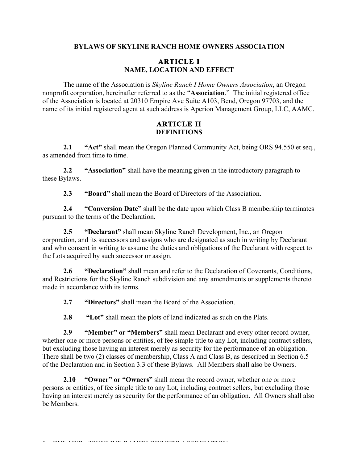### **BYLAWS OF SKYLINE RANCH HOME OWNERS ASSOCIATION**

### **ARTICLE I NAME, LOCATION AND EFFECT**

The name of the Association is *Skyline Ranch I Home Owners Association*, an Oregon nonprofit corporation, hereinafter referred to as the "**Association**." The initial registered office of the Association is located at 20310 Empire Ave Suite A103, Bend, Oregon 97703, and the name of its initial registered agent at such address is Aperion Management Group, LLC, AAMC.

### **ARTICLE II DEFINITIONS**

**2.1 "Act"** shall mean the Oregon Planned Community Act, being ORS 94.550 et seq., as amended from time to time.

**2.2 "Association"** shall have the meaning given in the introductory paragraph to these Bylaws.

**2.3 "Board"** shall mean the Board of Directors of the Association.

**2.4 "Conversion Date"** shall be the date upon which Class B membership terminates pursuant to the terms of the Declaration.

**2.5 "Declarant"** shall mean Skyline Ranch Development, Inc., an Oregon corporation, and its successors and assigns who are designated as such in writing by Declarant and who consent in writing to assume the duties and obligations of the Declarant with respect to the Lots acquired by such successor or assign.

**2.6 "Declaration"** shall mean and refer to the Declaration of Covenants, Conditions, and Restrictions for the Skyline Ranch subdivision and any amendments or supplements thereto made in accordance with its terms.

**2.7 "Directors"** shall mean the Board of the Association.

**2.8 "Lot"** shall mean the plots of land indicated as such on the Plats.

**2.9 "Member" or "Members"** shall mean Declarant and every other record owner, whether one or more persons or entities, of fee simple title to any Lot, including contract sellers, but excluding those having an interest merely as security for the performance of an obligation. There shall be two (2) classes of membership, Class A and Class B, as described in Section 6.5 of the Declaration and in Section 3.3 of these Bylaws. All Members shall also be Owners.

**2.10 "Owner" or "Owners"** shall mean the record owner, whether one or more persons or entities, of fee simple title to any Lot, including contract sellers, but excluding those having an interest merely as security for the performance of an obligation. All Owners shall also be Members.

**DYT LWS CONTRIBUER LYST OWNERS LOSSELEYST**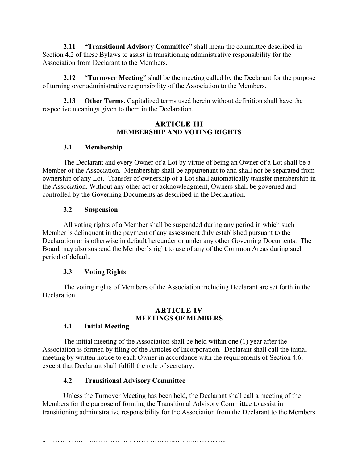**2.11 "Transitional Advisory Committee"** shall mean the committee described in Section 4.2 of these Bylaws to assist in transitioning administrative responsibility for the Association from Declarant to the Members.

**2.12 "Turnover Meeting"** shall be the meeting called by the Declarant for the purpose of turning over administrative responsibility of the Association to the Members.

**2.13 Other Terms.** Capitalized terms used herein without definition shall have the respective meanings given to them in the Declaration.

### **ARTICLE III MEMBERSHIP AND VOTING RIGHTS**

# **3.1 Membership**

The Declarant and every Owner of a Lot by virtue of being an Owner of a Lot shall be a Member of the Association. Membership shall be appurtenant to and shall not be separated from ownership of any Lot. Transfer of ownership of a Lot shall automatically transfer membership in the Association. Without any other act or acknowledgment, Owners shall be governed and controlled by the Governing Documents as described in the Declaration.

# **3.2 Suspension**

All voting rights of a Member shall be suspended during any period in which such Member is delinquent in the payment of any assessment duly established pursuant to the Declaration or is otherwise in default hereunder or under any other Governing Documents. The Board may also suspend the Member's right to use of any of the Common Areas during such period of default.

# **3.3 Voting Rights**

The voting rights of Members of the Association including Declarant are set forth in the **Declaration** 

### **ARTICLE IV MEETINGS OF MEMBERS**

# **4.1 Initial Meeting**

The initial meeting of the Association shall be held within one (1) year after the Association is formed by filing of the Articles of Incorporation. Declarant shall call the initial meeting by written notice to each Owner in accordance with the requirements of Section 4.6, except that Declarant shall fulfill the role of secretary.

# **4.2 Transitional Advisory Committee**

Unless the Turnover Meeting has been held, the Declarant shall call a meeting of the Members for the purpose of forming the Transitional Advisory Committee to assist in transitioning administrative responsibility for the Association from the Declarant to the Members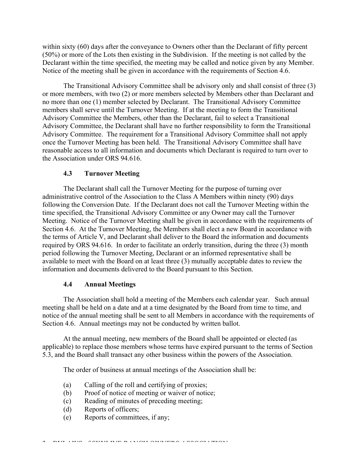within sixty (60) days after the conveyance to Owners other than the Declarant of fifty percent (50%) or more of the Lots then existing in the Subdivision. If the meeting is not called by the Declarant within the time specified, the meeting may be called and notice given by any Member. Notice of the meeting shall be given in accordance with the requirements of Section 4.6.

The Transitional Advisory Committee shall be advisory only and shall consist of three (3) or more members, with two (2) or more members selected by Members other than Declarant and no more than one (1) member selected by Declarant. The Transitional Advisory Committee members shall serve until the Turnover Meeting. If at the meeting to form the Transitional Advisory Committee the Members, other than the Declarant, fail to select a Transitional Advisory Committee, the Declarant shall have no further responsibility to form the Transitional Advisory Committee. The requirement for a Transitional Advisory Committee shall not apply once the Turnover Meeting has been held. The Transitional Advisory Committee shall have reasonable access to all information and documents which Declarant is required to turn over to the Association under ORS 94.616.

#### **4.3 Turnover Meeting**

The Declarant shall call the Turnover Meeting for the purpose of turning over administrative control of the Association to the Class A Members within ninety (90) days following the Conversion Date. If the Declarant does not call the Turnover Meeting within the time specified, the Transitional Advisory Committee or any Owner may call the Turnover Meeting. Notice of the Turnover Meeting shall be given in accordance with the requirements of Section 4.6. At the Turnover Meeting, the Members shall elect a new Board in accordance with the terms of Article V, and Declarant shall deliver to the Board the information and documents required by ORS 94.616. In order to facilitate an orderly transition, during the three (3) month period following the Turnover Meeting, Declarant or an informed representative shall be available to meet with the Board on at least three (3) mutually acceptable dates to review the information and documents delivered to the Board pursuant to this Section.

#### **4.4 Annual Meetings**

The Association shall hold a meeting of the Members each calendar year. Such annual meeting shall be held on a date and at a time designated by the Board from time to time, and notice of the annual meeting shall be sent to all Members in accordance with the requirements of Section 4.6. Annual meetings may not be conducted by written ballot.

At the annual meeting, new members of the Board shall be appointed or elected (as applicable) to replace those members whose terms have expired pursuant to the terms of Section 5.3, and the Board shall transact any other business within the powers of the Association.

The order of business at annual meetings of the Association shall be:

- (a) Calling of the roll and certifying of proxies;
- (b) Proof of notice of meeting or waiver of notice;
- (c) Reading of minutes of preceding meeting;
- (d) Reports of officers;
- (e) Reports of committees, if any;

**DYH AWS COUNTRIED ANSWERS ASSOCIATION**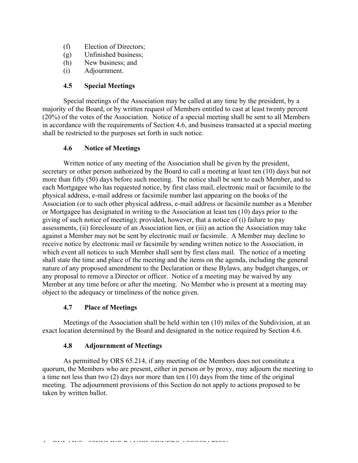- (f) Election of Directors;
- (g) Unfinished business;
- (h) New business; and
- (i) Adjournment.

# **4.5 Special Meetings**

Special meetings of the Association may be called at any time by the president, by a majority of the Board, or by written request of Members entitled to cast at least twenty percent (20%) of the votes of the Association. Notice of a special meeting shall be sent to all Members in accordance with the requirements of Section 4.6, and business transacted at a special meeting shall be restricted to the purposes set forth in such notice.

### **4.6 Notice of Meetings**

Written notice of any meeting of the Association shall be given by the president, secretary or other person authorized by the Board to call a meeting at least ten (10) days but not more than fifty (50) days before such meeting. The notice shall be sent to each Member, and to each Mortgagee who has requested notice, by first class mail, electronic mail or facsimile to the physical address, e-mail address or facsimile number last appearing on the books of the Association (or to such other physical address, e-mail address or facsimile number as a Member or Mortgagee has designated in writing to the Association at least ten (10) days prior to the giving of such notice of meeting); provided, however, that a notice of (i) failure to pay assessments, (ii) foreclosure of an Association lien, or (iii) an action the Association may take against a Member may not be sent by electronic mail or facsimile. A Member may decline to receive notice by electronic mail or facsimile by sending written notice to the Association, in which event all notices to such Member shall sent by first class mail. The notice of a meeting shall state the time and place of the meeting and the items on the agenda, including the general nature of any proposed amendment to the Declaration or these Bylaws, any budget changes, or any proposal to remove a Director or officer. Notice of a meeting may be waived by any Member at any time before or after the meeting. No Member who is present at a meeting may object to the adequacy or timeliness of the notice given.

### **4.7 Place of Meetings**

Meetings of the Association shall be held within ten (10) miles of the Subdivision, at an exact location determined by the Board and designated in the notice required by Section 4.6.

### **4.8 Adjournment of Meetings**

As permitted by ORS 65.214, if any meeting of the Members does not constitute a quorum, the Members who are present, either in person or by proxy, may adjourn the meeting to a time not less than two (2) days nor more than ten (10) days from the time of the original meeting. The adjournment provisions of this Section do not apply to actions proposed to be taken by written ballot.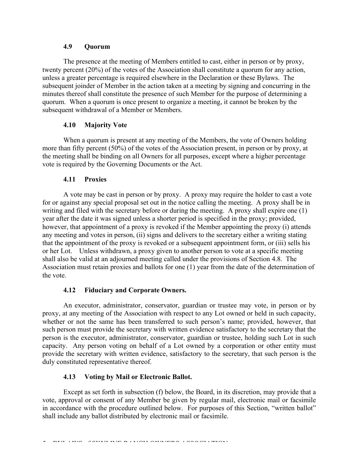### **4.9 Quorum**

The presence at the meeting of Members entitled to cast, either in person or by proxy, twenty percent (20%) of the votes of the Association shall constitute a quorum for any action, unless a greater percentage is required elsewhere in the Declaration or these Bylaws. The subsequent joinder of Member in the action taken at a meeting by signing and concurring in the minutes thereof shall constitute the presence of such Member for the purpose of determining a quorum. When a quorum is once present to organize a meeting, it cannot be broken by the subsequent withdrawal of a Member or Members.

# **4.10 Majority Vote**

When a quorum is present at any meeting of the Members, the vote of Owners holding more than fifty percent (50%) of the votes of the Association present, in person or by proxy, at the meeting shall be binding on all Owners for all purposes, except where a higher percentage vote is required by the Governing Documents or the Act.

### **4.11 Proxies**

A vote may be cast in person or by proxy. A proxy may require the holder to cast a vote for or against any special proposal set out in the notice calling the meeting. A proxy shall be in writing and filed with the secretary before or during the meeting. A proxy shall expire one (1) year after the date it was signed unless a shorter period is specified in the proxy; provided, however, that appointment of a proxy is revoked if the Member appointing the proxy (i) attends any meeting and votes in person, (ii) signs and delivers to the secretary either a writing stating that the appointment of the proxy is revoked or a subsequent appointment form, or (iii) sells his or her Lot. Unless withdrawn, a proxy given to another person to vote at a specific meeting shall also be valid at an adjourned meeting called under the provisions of Section 4.8. The Association must retain proxies and ballots for one (1) year from the date of the determination of the vote.

### **4.12 Fiduciary and Corporate Owners.**

An executor, administrator, conservator, guardian or trustee may vote, in person or by proxy, at any meeting of the Association with respect to any Lot owned or held in such capacity, whether or not the same has been transferred to such person's name; provided, however, that such person must provide the secretary with written evidence satisfactory to the secretary that the person is the executor, administrator, conservator, guardian or trustee, holding such Lot in such capacity. Any person voting on behalf of a Lot owned by a corporation or other entity must provide the secretary with written evidence, satisfactory to the secretary, that such person is the duly constituted representative thereof.

# **4.13 Voting by Mail or Electronic Ballot.**

Except as set forth in subsection (f) below, the Board, in its discretion, may provide that a vote, approval or consent of any Member be given by regular mail, electronic mail or facsimile in accordance with the procedure outlined below. For purposes of this Section, "written ballot" shall include any ballot distributed by electronic mail or facsimile.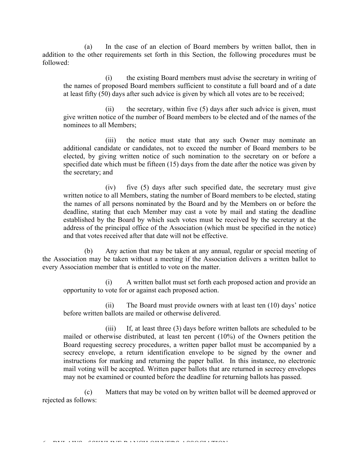(a) In the case of an election of Board members by written ballot, then in addition to the other requirements set forth in this Section, the following procedures must be followed:

(i) the existing Board members must advise the secretary in writing of the names of proposed Board members sufficient to constitute a full board and of a date at least fifty (50) days after such advice is given by which all votes are to be received;

(ii) the secretary, within five (5) days after such advice is given, must give written notice of the number of Board members to be elected and of the names of the nominees to all Members;

(iii) the notice must state that any such Owner may nominate an additional candidate or candidates, not to exceed the number of Board members to be elected, by giving written notice of such nomination to the secretary on or before a specified date which must be fifteen (15) days from the date after the notice was given by the secretary; and

(iv) five (5) days after such specified date, the secretary must give written notice to all Members, stating the number of Board members to be elected, stating the names of all persons nominated by the Board and by the Members on or before the deadline, stating that each Member may cast a vote by mail and stating the deadline established by the Board by which such votes must be received by the secretary at the address of the principal office of the Association (which must be specified in the notice) and that votes received after that date will not be effective.

(b) Any action that may be taken at any annual, regular or special meeting of the Association may be taken without a meeting if the Association delivers a written ballot to every Association member that is entitled to vote on the matter.

(i) A written ballot must set forth each proposed action and provide an opportunity to vote for or against each proposed action.

(ii) The Board must provide owners with at least ten (10) days' notice before written ballots are mailed or otherwise delivered.

(iii) If, at least three (3) days before written ballots are scheduled to be mailed or otherwise distributed, at least ten percent (10%) of the Owners petition the Board requesting secrecy procedures, a written paper ballot must be accompanied by a secrecy envelope, a return identification envelope to be signed by the owner and instructions for marking and returning the paper ballot. In this instance, no electronic mail voting will be accepted. Written paper ballots that are returned in secrecy envelopes may not be examined or counted before the deadline for returning ballots has passed.

(c) Matters that may be voted on by written ballot will be deemed approved or rejected as follows:

**BYLAWS COULD DE BALAWS OF SHAWS ASSOCIATION**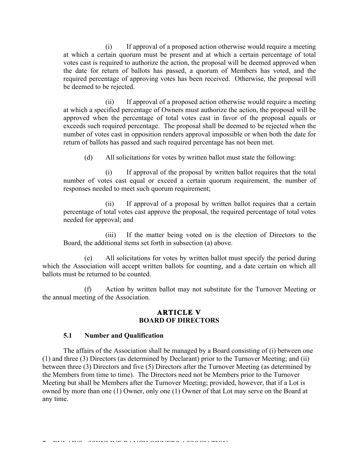(i) If approval of a proposed action otherwise would require a meeting at which a certain quorum must be present and at which a certain percentage of total votes cast is required to authorize the action, the proposal will be deemed approved when the date for return of ballots has passed, a quorum of Members has voted, and the required percentage of approving votes has been received. Otherwise, the proposal will be deemed to be rejected.

(ii) If approval of a proposed action otherwise would require a meeting at which a specified percentage of Owners must authorize the action, the proposal will be approved when the percentage of total votes cast in favor of the proposal equals or exceeds such required percentage. The proposal shall be deemed to be rejected when the number of votes cast in opposition renders approval impossible or when both the date for return of ballots has passed and such required percentage has not been met.

(d) All solicitations for votes by written ballot must state the following:

(i) If approval of the proposal by written ballot requires that the total number of votes cast equal or exceed a certain quorum requirement, the number of responses needed to meet such quorum requirement;

(ii) If approval of a proposal by written ballot requires that a certain percentage of total votes cast approve the proposal, the required percentage of total votes needed for approval; and

(iii) If the matter being voted on is the election of Directors to the Board, the additional items set forth in subsection (a) above.

(e) All solicitations for votes by written ballot must specify the period during which the Association will accept written ballots for counting, and a date certain on which all ballots must be returned to be counted.

(f) Action by written ballot may not substitute for the Turnover Meeting or the annual meeting of the Association.

### **ARTICLE V BOARD OF DIRECTORS**

#### **5.1 Number and Qualification**

The affairs of the Association shall be managed by a Board consisting of (i) between one (1) and three (3) Directors (as determined by Declarant) prior to the Turnover Meeting; and (ii) between three (3) Directors and five (5) Directors after the Turnover Meeting (as determined by the Members from time to time). The Directors need not be Members prior to the Turnover Meeting but shall be Members after the Turnover Meeting; provided, however, that if a Lot is owned by more than one (1) Owner, only one (1) Owner of that Lot may serve on the Board at any time.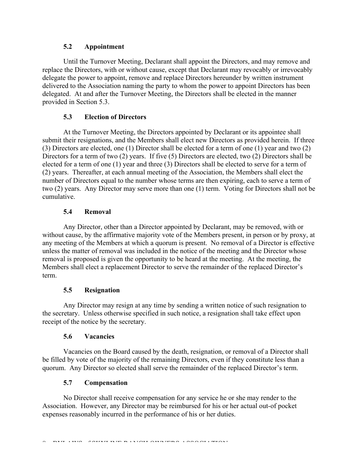### **5.2 Appointment**

Until the Turnover Meeting, Declarant shall appoint the Directors, and may remove and replace the Directors, with or without cause, except that Declarant may revocably or irrevocably delegate the power to appoint, remove and replace Directors hereunder by written instrument delivered to the Association naming the party to whom the power to appoint Directors has been delegated. At and after the Turnover Meeting, the Directors shall be elected in the manner provided in Section 5.3.

### **5.3 Election of Directors**

At the Turnover Meeting, the Directors appointed by Declarant or its appointee shall submit their resignations, and the Members shall elect new Directors as provided herein. If three (3) Directors are elected, one (1) Director shall be elected for a term of one (1) year and two (2) Directors for a term of two (2) years. If five (5) Directors are elected, two (2) Directors shall be elected for a term of one (1) year and three (3) Directors shall be elected to serve for a term of (2) years. Thereafter, at each annual meeting of the Association, the Members shall elect the number of Directors equal to the number whose terms are then expiring, each to serve a term of two (2) years. Any Director may serve more than one (1) term. Voting for Directors shall not be cumulative.

# **5.4 Removal**

Any Director, other than a Director appointed by Declarant, may be removed, with or without cause, by the affirmative majority vote of the Members present, in person or by proxy, at any meeting of the Members at which a quorum is present. No removal of a Director is effective unless the matter of removal was included in the notice of the meeting and the Director whose removal is proposed is given the opportunity to be heard at the meeting. At the meeting, the Members shall elect a replacement Director to serve the remainder of the replaced Director's term.

### **5.5 Resignation**

Any Director may resign at any time by sending a written notice of such resignation to the secretary. Unless otherwise specified in such notice, a resignation shall take effect upon receipt of the notice by the secretary.

### **5.6 Vacancies**

Vacancies on the Board caused by the death, resignation, or removal of a Director shall be filled by vote of the majority of the remaining Directors, even if they constitute less than a quorum. Any Director so elected shall serve the remainder of the replaced Director's term.

### **5.7 Compensation**

No Director shall receive compensation for any service he or she may render to the Association. However, any Director may be reimbursed for his or her actual out-of pocket expenses reasonably incurred in the performance of his or her duties.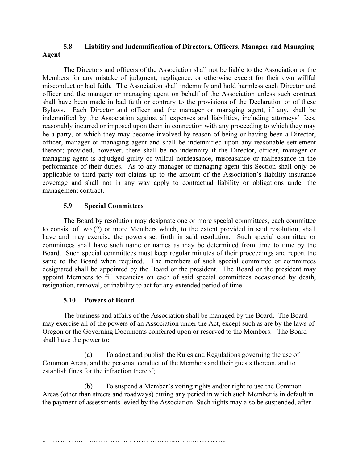# **5.8 Liability and Indemnification of Directors, Officers, Manager and Managing Agent**

The Directors and officers of the Association shall not be liable to the Association or the Members for any mistake of judgment, negligence, or otherwise except for their own willful misconduct or bad faith. The Association shall indemnify and hold harmless each Director and officer and the manager or managing agent on behalf of the Association unless such contract shall have been made in bad faith or contrary to the provisions of the Declaration or of these Bylaws. Each Director and officer and the manager or managing agent, if any, shall be indemnified by the Association against all expenses and liabilities, including attorneys' fees, reasonably incurred or imposed upon them in connection with any proceeding to which they may be a party, or which they may become involved by reason of being or having been a Director, officer, manager or managing agent and shall be indemnified upon any reasonable settlement thereof; provided, however, there shall be no indemnity if the Director, officer, manager or managing agent is adjudged guilty of willful nonfeasance, misfeasance or malfeasance in the performance of their duties. As to any manager or managing agent this Section shall only be applicable to third party tort claims up to the amount of the Association's liability insurance coverage and shall not in any way apply to contractual liability or obligations under the management contract.

### **5.9 Special Committees**

The Board by resolution may designate one or more special committees, each committee to consist of two (2) or more Members which, to the extent provided in said resolution, shall have and may exercise the powers set forth in said resolution. Such special committee or committees shall have such name or names as may be determined from time to time by the Board. Such special committees must keep regular minutes of their proceedings and report the same to the Board when required. The members of such special committee or committees designated shall be appointed by the Board or the president. The Board or the president may appoint Members to fill vacancies on each of said special committees occasioned by death, resignation, removal, or inability to act for any extended period of time.

### **5.10 Powers of Board**

The business and affairs of the Association shall be managed by the Board. The Board may exercise all of the powers of an Association under the Act, except such as are by the laws of Oregon or the Governing Documents conferred upon or reserved to the Members. The Board shall have the power to:

(a) To adopt and publish the Rules and Regulations governing the use of Common Areas, and the personal conduct of the Members and their guests thereon, and to establish fines for the infraction thereof;

(b) To suspend a Member's voting rights and/or right to use the Common Areas (other than streets and roadways) during any period in which such Member is in default in the payment of assessments levied by the Association. Such rights may also be suspended, after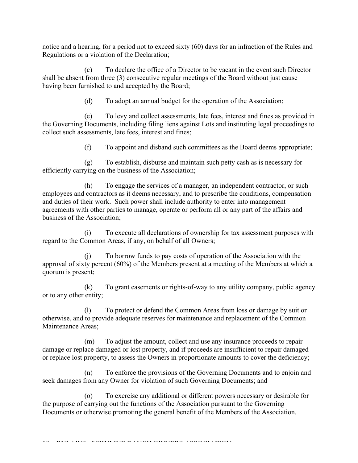notice and a hearing, for a period not to exceed sixty (60) days for an infraction of the Rules and Regulations or a violation of the Declaration;

(c) To declare the office of a Director to be vacant in the event such Director shall be absent from three (3) consecutive regular meetings of the Board without just cause having been furnished to and accepted by the Board;

(d) To adopt an annual budget for the operation of the Association;

(e) To levy and collect assessments, late fees, interest and fines as provided in the Governing Documents, including filing liens against Lots and instituting legal proceedings to collect such assessments, late fees, interest and fines;

(f) To appoint and disband such committees as the Board deems appropriate;

(g) To establish, disburse and maintain such petty cash as is necessary for efficiently carrying on the business of the Association;

(h) To engage the services of a manager, an independent contractor, or such employees and contractors as it deems necessary, and to prescribe the conditions, compensation and duties of their work. Such power shall include authority to enter into management agreements with other parties to manage, operate or perform all or any part of the affairs and business of the Association;

(i) To execute all declarations of ownership for tax assessment purposes with regard to the Common Areas, if any, on behalf of all Owners;

(j) To borrow funds to pay costs of operation of the Association with the approval of sixty percent (60%) of the Members present at a meeting of the Members at which a quorum is present;

(k) To grant easements or rights-of-way to any utility company, public agency or to any other entity;

(l) To protect or defend the Common Areas from loss or damage by suit or otherwise, and to provide adequate reserves for maintenance and replacement of the Common Maintenance Areas;

(m) To adjust the amount, collect and use any insurance proceeds to repair damage or replace damaged or lost property, and if proceeds are insufficient to repair damaged or replace lost property, to assess the Owners in proportionate amounts to cover the deficiency;

(n) To enforce the provisions of the Governing Documents and to enjoin and seek damages from any Owner for violation of such Governing Documents; and

(o) To exercise any additional or different powers necessary or desirable for the purpose of carrying out the functions of the Association pursuant to the Governing Documents or otherwise promoting the general benefit of the Members of the Association.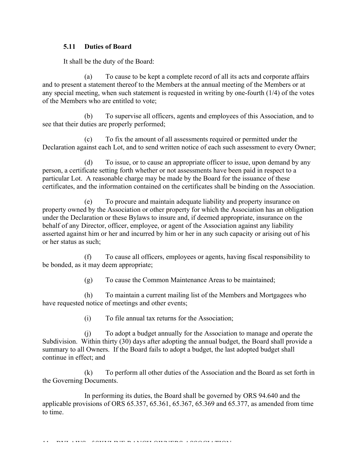### **5.11 Duties of Board**

It shall be the duty of the Board:

(a) To cause to be kept a complete record of all its acts and corporate affairs and to present a statement thereof to the Members at the annual meeting of the Members or at any special meeting, when such statement is requested in writing by one-fourth (1/4) of the votes of the Members who are entitled to vote;

(b) To supervise all officers, agents and employees of this Association, and to see that their duties are properly performed;

(c) To fix the amount of all assessments required or permitted under the Declaration against each Lot, and to send written notice of each such assessment to every Owner;

(d) To issue, or to cause an appropriate officer to issue, upon demand by any person, a certificate setting forth whether or not assessments have been paid in respect to a particular Lot. A reasonable charge may be made by the Board for the issuance of these certificates, and the information contained on the certificates shall be binding on the Association.

(e) To procure and maintain adequate liability and property insurance on property owned by the Association or other property for which the Association has an obligation under the Declaration or these Bylaws to insure and, if deemed appropriate, insurance on the behalf of any Director, officer, employee, or agent of the Association against any liability asserted against him or her and incurred by him or her in any such capacity or arising out of his or her status as such;

(f) To cause all officers, employees or agents, having fiscal responsibility to be bonded, as it may deem appropriate;

(g) To cause the Common Maintenance Areas to be maintained;

(h) To maintain a current mailing list of the Members and Mortgagees who have requested notice of meetings and other events;

(i) To file annual tax returns for the Association;

(j) To adopt a budget annually for the Association to manage and operate the Subdivision. Within thirty (30) days after adopting the annual budget, the Board shall provide a summary to all Owners. If the Board fails to adopt a budget, the last adopted budget shall continue in effect; and

(k) To perform all other duties of the Association and the Board as set forth in the Governing Documents.

In performing its duties, the Board shall be governed by ORS 94.640 and the applicable provisions of ORS 65.357, 65.361, 65.367, 65.369 and 65.377, as amended from time to time.

11 – BYLAMS OF SKYLINE RANCH OWNERS ASSOCIATION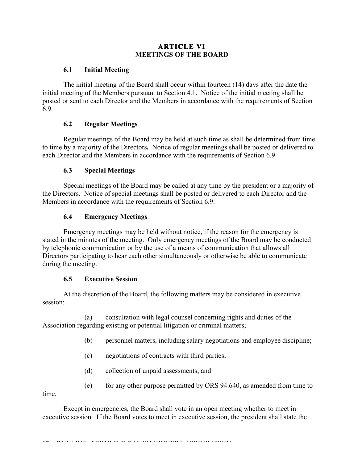# **ARTICLE VI MEETINGS OF THE BOARD**

## **6.1 Initial Meeting**

The initial meeting of the Board shall occur within fourteen (14) days after the date the initial meeting of the Members pursuant to Section 4.1. Notice of the initial meeting shall be posted or sent to each Director and the Members in accordance with the requirements of Section 6.9.

# **6.2 Regular Meetings**

Regular meetings of the Board may be held at such time as shall be determined from time to time by a majority of the Directors*.* Notice of regular meetings shall be posted or delivered to each Director and the Members in accordance with the requirements of Section 6.9.

# **6.3 Special Meetings**

Special meetings of the Board may be called at any time by the president or a majority of the Directors. Notice of special meetings shall be posted or delivered to each Director and the Members in accordance with the requirements of Section 6.9.

# **6.4 Emergency Meetings**

Emergency meetings may be held without notice, if the reason for the emergency is stated in the minutes of the meeting. Only emergency meetings of the Board may be conducted by telephonic communication or by the use of a means of communication that allows all Directors participating to hear each other simultaneously or otherwise be able to communicate during the meeting.

# **6.5 Executive Session**

At the discretion of the Board, the following matters may be considered in executive session:

(a) consultation with legal counsel concerning rights and duties of the Association regarding existing or potential litigation or criminal matters;

- (b) personnel matters, including salary negotiations and employee discipline;
- (c) negotiations of contracts with third parties;
- (d) collection of unpaid assessments; and
- (e) for any other purpose permitted by ORS 94.640, as amended from time to

time.

Except in emergencies, the Board shall vote in an open meeting whether to meet in executive session. If the Board votes to meet in executive session, the president shall state the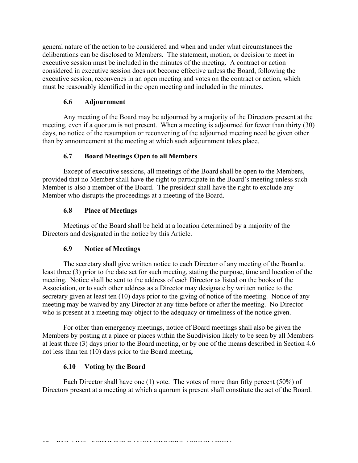general nature of the action to be considered and when and under what circumstances the deliberations can be disclosed to Members. The statement, motion, or decision to meet in executive session must be included in the minutes of the meeting. A contract or action considered in executive session does not become effective unless the Board, following the executive session, reconvenes in an open meeting and votes on the contract or action, which must be reasonably identified in the open meeting and included in the minutes.

### **6.6 Adjournment**

Any meeting of the Board may be adjourned by a majority of the Directors present at the meeting, even if a quorum is not present. When a meeting is adjourned for fewer than thirty (30) days, no notice of the resumption or reconvening of the adjourned meeting need be given other than by announcement at the meeting at which such adjournment takes place.

# **6.7 Board Meetings Open to all Members**

Except of executive sessions, all meetings of the Board shall be open to the Members, provided that no Member shall have the right to participate in the Board's meeting unless such Member is also a member of the Board. The president shall have the right to exclude any Member who disrupts the proceedings at a meeting of the Board.

# **6.8 Place of Meetings**

Meetings of the Board shall be held at a location determined by a majority of the Directors and designated in the notice by this Article.

### **6.9 Notice of Meetings**

The secretary shall give written notice to each Director of any meeting of the Board at least three (3) prior to the date set for such meeting, stating the purpose, time and location of the meeting. Notice shall be sent to the address of each Director as listed on the books of the Association, or to such other address as a Director may designate by written notice to the secretary given at least ten (10) days prior to the giving of notice of the meeting. Notice of any meeting may be waived by any Director at any time before or after the meeting. No Director who is present at a meeting may object to the adequacy or timeliness of the notice given.

For other than emergency meetings, notice of Board meetings shall also be given the Members by posting at a place or places within the Subdivision likely to be seen by all Members at least three (3) days prior to the Board meeting, or by one of the means described in Section 4.6 not less than ten (10) days prior to the Board meeting.

### **6.10 Voting by the Board**

Each Director shall have one (1) vote. The votes of more than fifty percent (50%) of Directors present at a meeting at which a quorum is present shall constitute the act of the Board.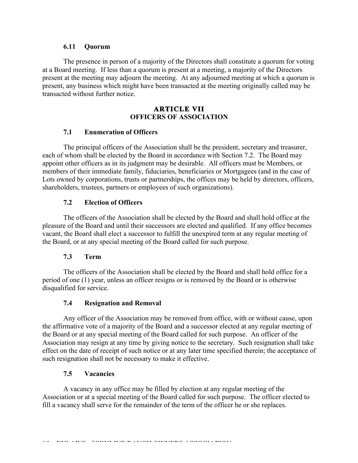#### **6.11 Quorum**

The presence in person of a majority of the Directors shall constitute a quorum for voting at a Board meeting. If less than a quorum is present at a meeting, a majority of the Directors present at the meeting may adjourn the meeting. At any adjourned meeting at which a quorum is present, any business which might have been transacted at the meeting originally called may be transacted without further notice.

### **ARTICLE VII OFFICERS OF ASSOCIATION**

### **7.1 Enumeration of Officers**

The principal officers of the Association shall be the president, secretary and treasurer, each of whom shall be elected by the Board in accordance with Section 7.2. The Board may appoint other officers as in its judgment may be desirable. All officers must be Members, or members of their immediate family, fiduciaries, beneficiaries or Mortgagees (and in the case of Lots owned by corporations, trusts or partnerships, the offices may be held by directors, officers, shareholders, trustees, partners or employees of such organizations).

### **7.2 Election of Officers**

The officers of the Association shall be elected by the Board and shall hold office at the pleasure of the Board and until their successors are elected and qualified. If any office becomes vacant, the Board shall elect a successor to fulfill the unexpired term at any regular meeting of the Board, or at any special meeting of the Board called for such purpose.

#### **7.3 Term**

The officers of the Association shall be elected by the Board and shall hold office for a period of one (1) year, unless an officer resigns or is removed by the Board or is otherwise disqualified for service.

### **7.4 Resignation and Removal**

Any officer of the Association may be removed from office, with or without cause, upon the affirmative vote of a majority of the Board and a successor elected at any regular meeting of the Board or at any special meeting of the Board called for such purpose. An officer of the Association may resign at any time by giving notice to the secretary. Such resignation shall take effect on the date of receipt of such notice or at any later time specified therein; the acceptance of such resignation shall not be necessary to make it effective.

#### **7.5 Vacancies**

A vacancy in any office may be filled by election at any regular meeting of the Association or at a special meeting of the Board called for such purpose. The officer elected to fill a vacancy shall serve for the remainder of the term of the officer he or she replaces.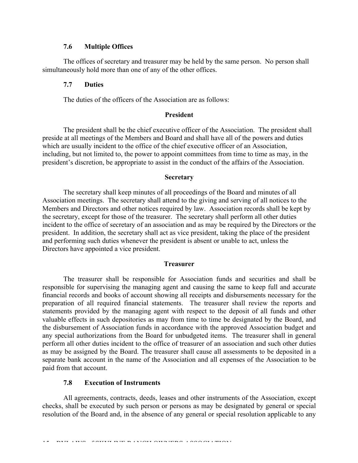#### **7.6 Multiple Offices**

The offices of secretary and treasurer may be held by the same person. No person shall simultaneously hold more than one of any of the other offices.

#### **7.7 Duties**

The duties of the officers of the Association are as follows:

#### **President**

The president shall be the chief executive officer of the Association. The president shall preside at all meetings of the Members and Board and shall have all of the powers and duties which are usually incident to the office of the chief executive officer of an Association, including, but not limited to, the power to appoint committees from time to time as may, in the president's discretion, be appropriate to assist in the conduct of the affairs of the Association.

#### **Secretary**

The secretary shall keep minutes of all proceedings of the Board and minutes of all Association meetings. The secretary shall attend to the giving and serving of all notices to the Members and Directors and other notices required by law. Association records shall be kept by the secretary, except for those of the treasurer. The secretary shall perform all other duties incident to the office of secretary of an association and as may be required by the Directors or the president. In addition, the secretary shall act as vice president, taking the place of the president and performing such duties whenever the president is absent or unable to act, unless the Directors have appointed a vice president.

#### **Treasurer**

The treasurer shall be responsible for Association funds and securities and shall be responsible for supervising the managing agent and causing the same to keep full and accurate financial records and books of account showing all receipts and disbursements necessary for the preparation of all required financial statements. The treasurer shall review the reports and statements provided by the managing agent with respect to the deposit of all funds and other valuable effects in such depositories as may from time to time be designated by the Board, and the disbursement of Association funds in accordance with the approved Association budget and any special authorizations from the Board for unbudgeted items. The treasurer shall in general perform all other duties incident to the office of treasurer of an association and such other duties as may be assigned by the Board. The treasurer shall cause all assessments to be deposited in a separate bank account in the name of the Association and all expenses of the Association to be paid from that account.

### **7.8 Execution of Instruments**

All agreements, contracts, deeds, leases and other instruments of the Association, except checks, shall be executed by such person or persons as may be designated by general or special resolution of the Board and, in the absence of any general or special resolution applicable to any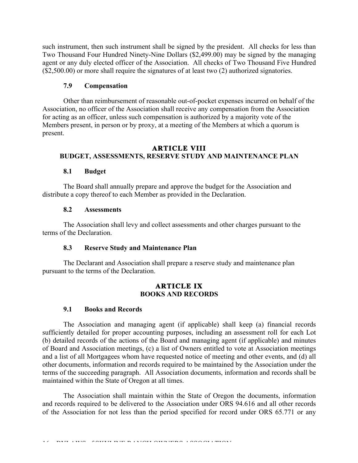such instrument, then such instrument shall be signed by the president. All checks for less than Two Thousand Four Hundred Ninety-Nine Dollars (\$2,499.00) may be signed by the managing agent or any duly elected officer of the Association. All checks of Two Thousand Five Hundred (\$2,500.00) or more shall require the signatures of at least two (2) authorized signatories.

### **7.9 Compensation**

Other than reimbursement of reasonable out-of-pocket expenses incurred on behalf of the Association, no officer of the Association shall receive any compensation from the Association for acting as an officer, unless such compensation is authorized by a majority vote of the Members present, in person or by proxy, at a meeting of the Members at which a quorum is present.

#### **ARTICLE VIII BUDGET, ASSESSMENTS, RESERVE STUDY AND MAINTENANCE PLAN**

#### **8.1 Budget**

The Board shall annually prepare and approve the budget for the Association and distribute a copy thereof to each Member as provided in the Declaration.

#### **8.2 Assessments**

The Association shall levy and collect assessments and other charges pursuant to the terms of the Declaration.

#### **8.3 Reserve Study and Maintenance Plan**

The Declarant and Association shall prepare a reserve study and maintenance plan pursuant to the terms of the Declaration.

#### **ARTICLE IX BOOKS AND RECORDS**

#### **9.1 Books and Records**

The Association and managing agent (if applicable) shall keep (a) financial records sufficiently detailed for proper accounting purposes, including an assessment roll for each Lot (b) detailed records of the actions of the Board and managing agent (if applicable) and minutes of Board and Association meetings, (c) a list of Owners entitled to vote at Association meetings and a list of all Mortgagees whom have requested notice of meeting and other events, and (d) all other documents, information and records required to be maintained by the Association under the terms of the succeeding paragraph. All Association documents, information and records shall be maintained within the State of Oregon at all times.

The Association shall maintain within the State of Oregon the documents, information and records required to be delivered to the Association under ORS 94.616 and all other records of the Association for not less than the period specified for record under ORS 65.771 or any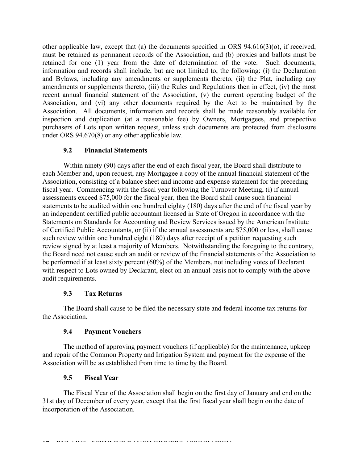other applicable law, except that (a) the documents specified in ORS 94.616(3)(o), if received, must be retained as permanent records of the Association, and (b) proxies and ballots must be retained for one (1) year from the date of determination of the vote. Such documents, information and records shall include, but are not limited to, the following: (i) the Declaration and Bylaws, including any amendments or supplements thereto, (ii) the Plat, including any amendments or supplements thereto, (iii) the Rules and Regulations then in effect, (iv) the most recent annual financial statement of the Association, (v) the current operating budget of the Association, and (vi) any other documents required by the Act to be maintained by the Association. All documents, information and records shall be made reasonably available for inspection and duplication (at a reasonable fee) by Owners, Mortgagees, and prospective purchasers of Lots upon written request, unless such documents are protected from disclosure under ORS 94.670(8) or any other applicable law.

### **9.2 Financial Statements**

Within ninety (90) days after the end of each fiscal year, the Board shall distribute to each Member and, upon request, any Mortgagee a copy of the annual financial statement of the Association, consisting of a balance sheet and income and expense statement for the preceding fiscal year. Commencing with the fiscal year following the Turnover Meeting, (i) if annual assessments exceed \$75,000 for the fiscal year, then the Board shall cause such financial statements to be audited within one hundred eighty (180) days after the end of the fiscal year by an independent certified public accountant licensed in State of Oregon in accordance with the Statements on Standards for Accounting and Review Services issued by the American Institute of Certified Public Accountants, or (ii) if the annual assessments are \$75,000 or less, shall cause such review within one hundred eight (180) days after receipt of a petition requesting such review signed by at least a majority of Members. Notwithstanding the foregoing to the contrary, the Board need not cause such an audit or review of the financial statements of the Association to be performed if at least sixty percent (60%) of the Members, not including votes of Declarant with respect to Lots owned by Declarant, elect on an annual basis not to comply with the above audit requirements.

### **9.3 Tax Returns**

The Board shall cause to be filed the necessary state and federal income tax returns for the Association.

### **9.4 Payment Vouchers**

The method of approving payment vouchers (if applicable) for the maintenance, upkeep and repair of the Common Property and Irrigation System and payment for the expense of the Association will be as established from time to time by the Board.

### **9.5 Fiscal Year**

The Fiscal Year of the Association shall begin on the first day of January and end on the 31st day of December of every year, except that the first fiscal year shall begin on the date of incorporation of the Association.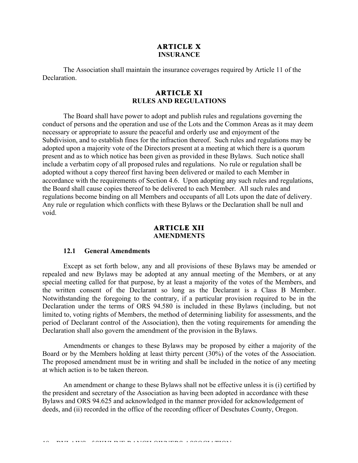### **ARTICLE X INSURANCE**

The Association shall maintain the insurance coverages required by Article 11 of the **Declaration** 

#### **ARTICLE XI RULES AND REGULATIONS**

The Board shall have power to adopt and publish rules and regulations governing the conduct of persons and the operation and use of the Lots and the Common Areas as it may deem necessary or appropriate to assure the peaceful and orderly use and enjoyment of the Subdivision, and to establish fines for the infraction thereof. Such rules and regulations may be adopted upon a majority vote of the Directors present at a meeting at which there is a quorum present and as to which notice has been given as provided in these Bylaws. Such notice shall include a verbatim copy of all proposed rules and regulations. No rule or regulation shall be adopted without a copy thereof first having been delivered or mailed to each Member in accordance with the requirements of Section 4.6. Upon adopting any such rules and regulations, the Board shall cause copies thereof to be delivered to each Member. All such rules and regulations become binding on all Members and occupants of all Lots upon the date of delivery. Any rule or regulation which conflicts with these Bylaws or the Declaration shall be null and void.

#### **ARTICLE XII AMENDMENTS**

#### **12.1 General Amendments**

Except as set forth below, any and all provisions of these Bylaws may be amended or repealed and new Bylaws may be adopted at any annual meeting of the Members, or at any special meeting called for that purpose, by at least a majority of the votes of the Members, and the written consent of the Declarant so long as the Declarant is a Class B Member. Notwithstanding the foregoing to the contrary, if a particular provision required to be in the Declaration under the terms of ORS 94.580 is included in these Bylaws (including, but not limited to, voting rights of Members, the method of determining liability for assessments, and the period of Declarant control of the Association), then the voting requirements for amending the Declaration shall also govern the amendment of the provision in the Bylaws.

Amendments or changes to these Bylaws may be proposed by either a majority of the Board or by the Members holding at least thirty percent (30%) of the votes of the Association. The proposed amendment must be in writing and shall be included in the notice of any meeting at which action is to be taken thereon.

An amendment or change to these Bylaws shall not be effective unless it is (i) certified by the president and secretary of the Association as having been adopted in accordance with these Bylaws and ORS 94.625 and acknowledged in the manner provided for acknowledgement of deeds, and (ii) recorded in the office of the recording officer of Deschutes County, Oregon.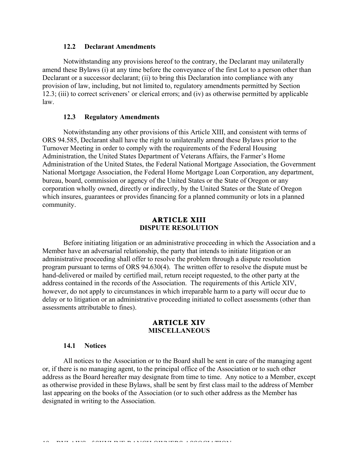#### **12.2 Declarant Amendments**

Notwithstanding any provisions hereof to the contrary, the Declarant may unilaterally amend these Bylaws (i) at any time before the conveyance of the first Lot to a person other than Declarant or a successor declarant; (ii) to bring this Declaration into compliance with any provision of law, including, but not limited to, regulatory amendments permitted by Section 12.3; (iii) to correct scriveners' or clerical errors; and (iv) as otherwise permitted by applicable law.

### **12.3 Regulatory Amendments**

Notwithstanding any other provisions of this Article XIII, and consistent with terms of ORS 94.585, Declarant shall have the right to unilaterally amend these Bylaws prior to the Turnover Meeting in order to comply with the requirements of the Federal Housing Administration, the United States Department of Veterans Affairs, the Farmer's Home Administration of the United States, the Federal National Mortgage Association, the Government National Mortgage Association, the Federal Home Mortgage Loan Corporation, any department, bureau, board, commission or agency of the United States or the State of Oregon or any corporation wholly owned, directly or indirectly, by the United States or the State of Oregon which insures, guarantees or provides financing for a planned community or lots in a planned community.

#### **ARTICLE XIII DISPUTE RESOLUTION**

Before initiating litigation or an administrative proceeding in which the Association and a Member have an adversarial relationship, the party that intends to initiate litigation or an administrative proceeding shall offer to resolve the problem through a dispute resolution program pursuant to terms of ORS 94.630(4). The written offer to resolve the dispute must be hand-delivered or mailed by certified mail, return receipt requested, to the other party at the address contained in the records of the Association. The requirements of this Article XIV, however, do not apply to circumstances in which irreparable harm to a party will occur due to delay or to litigation or an administrative proceeding initiated to collect assessments (other than assessments attributable to fines).

#### **ARTICLE XIV MISCELLANEOUS**

#### **14.1 Notices**

All notices to the Association or to the Board shall be sent in care of the managing agent or, if there is no managing agent, to the principal office of the Association or to such other address as the Board hereafter may designate from time to time. Any notice to a Member, except as otherwise provided in these Bylaws, shall be sent by first class mail to the address of Member last appearing on the books of the Association (or to such other address as the Member has designated in writing to the Association.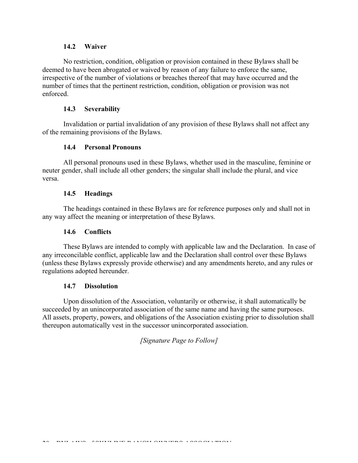### **14.2 Waiver**

No restriction, condition, obligation or provision contained in these Bylaws shall be deemed to have been abrogated or waived by reason of any failure to enforce the same, irrespective of the number of violations or breaches thereof that may have occurred and the number of times that the pertinent restriction, condition, obligation or provision was not enforced.

### **14.3 Severability**

Invalidation or partial invalidation of any provision of these Bylaws shall not affect any of the remaining provisions of the Bylaws.

### **14.4 Personal Pronouns**

All personal pronouns used in these Bylaws, whether used in the masculine, feminine or neuter gender, shall include all other genders; the singular shall include the plural, and vice versa.

### **14.5 Headings**

The headings contained in these Bylaws are for reference purposes only and shall not in any way affect the meaning or interpretation of these Bylaws.

### **14.6 Conflicts**

These Bylaws are intended to comply with applicable law and the Declaration. In case of any irreconcilable conflict, applicable law and the Declaration shall control over these Bylaws (unless these Bylaws expressly provide otherwise) and any amendments hereto, and any rules or regulations adopted hereunder.

#### **14.7 Dissolution**

Upon dissolution of the Association, voluntarily or otherwise, it shall automatically be succeeded by an unincorporated association of the same name and having the same purposes. All assets, property, powers, and obligations of the Association existing prior to dissolution shall thereupon automatically vest in the successor unincorporated association.

*[Signature Page to Follow]*